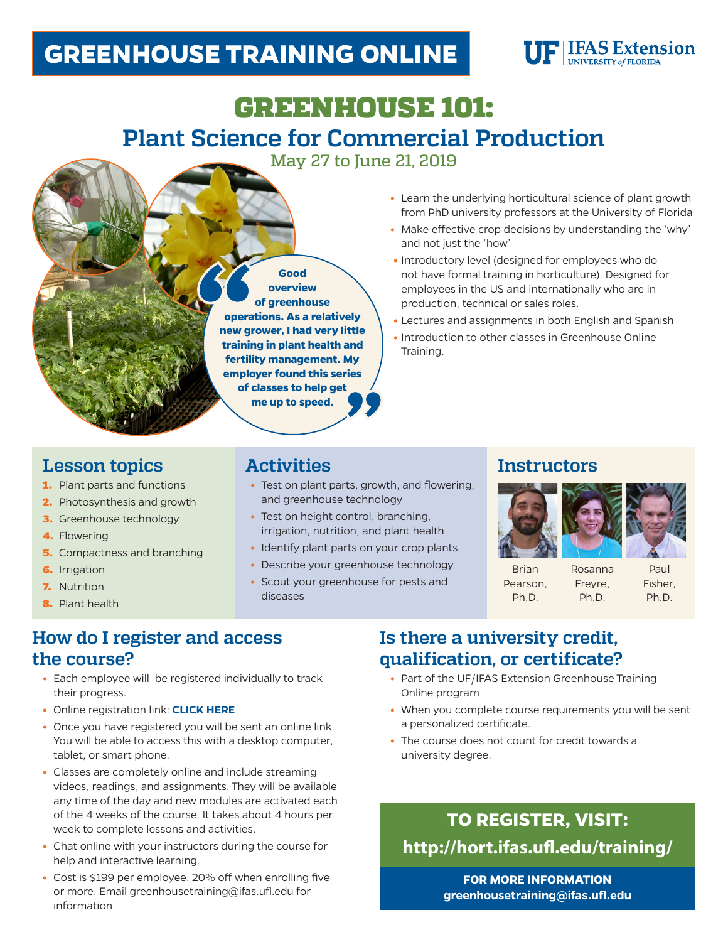# **GREENHOUSE TRAINING ONLINE**

# **UF IFAS Extension**

# GREENHOUSE 101: **Plant Science for Commercial Production**

May 27 to June 21, 2019

- **•** Learn the underlying horticultural science of plant growth from PhD university professors at the University of Florida
- **•** Make effective crop decisions by understanding the 'why' and not just the 'how'
- **•** Introductory level (designed for employees who do not have formal training in horticulture). Designed for employees in the US and internationally who are in production, technical or sales roles.
- **•** Lectures and assignments in both English and Spanish
- **•** Introduction to other classes in Greenhouse Online Training.

## **Lesson topics**

- **1.** Plant parts and functions
- **2.** Photosynthesis and growth
- **3.** Greenhouse technology
- **4.** Flowering
- **5.** Compactness and branching
- **6.** Irrigation
- **7.** Nutrition
- **8.** Plant health

### **Activities**

**Good overview of greenhouse operations. As a relatively new grower, I had very little training in plant health and fertility management. My employer found this series of classes to help get me up to speed.** 

- **•** Test on plant parts, growth, and flowering, and greenhouse technology
- **•** Test on height control, branching, irrigation, nutrition, and plant health
- **•** Identify plant parts on your crop plants
- **•** Describe your greenhouse technology
- **•** Scout your greenhouse for pests and diseases

#### **Instructors**



Freyre, Ph.D.

Brian Pearson, Ph.D.

Paul Fisher, Ph.D.

### **How do I register and access the course?**

- **•** Each employee will be registered individually to track their progress.
- **•** Online registration link: **[CLICK HERE](http://hort.ifas.ufl.edu/training/)**
- **•** Once you have registered you will be sent an online link. You will be able to access this with a desktop computer, tablet, or smart phone.
- **•** Classes are completely online and include streaming videos, readings, and assignments. They will be available any time of the day and new modules are activated each of the 4 weeks of the course. It takes about 4 hours per week to complete lessons and activities.
- **•** Chat online with your instructors during the course for help and interactive learning.
- **•** Cost is \$199 per employee. 20% off when enrolling five or more. Email greenhousetraining@ifas.ufl.edu for information.

## **Is there a university credit, qualification, or certificate?**

- **•** Part of the UF/IFAS Extension Greenhouse Training Online program
- **•** When you complete course requirements you will be sent a personalized certificate.
- **•** The course does not count for credit towards a university degree.

## **TO REGISTER, VISIT: <http://hort.ifas.ufl.edu/training/>**

**FOR MORE INFORMATION greenhousetraining@ifas.ufl.edu**